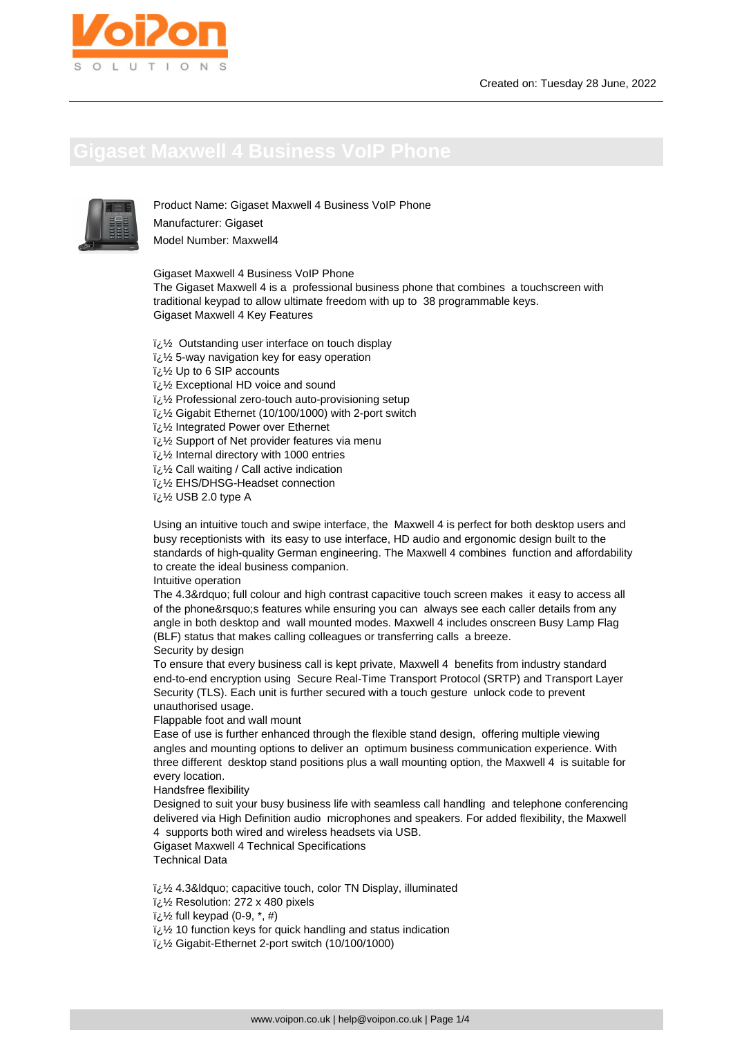

Product Name: Gigaset Maxwell 4 Business VoIP Phone Manufacturer: Gigaset Model Number: Maxwell4

Gigaset Maxwell 4 Business VoIP Phone

The Gigaset Maxwell 4 is a professional business phone that combines a touchscreen with traditional keypad to allow ultimate freedom with up to 38 programmable keys. Gigaset Maxwell 4 Key Features

- i<sub>i</sub>: $\frac{1}{2}$  Outstanding user interface on touch display
- $\frac{1}{2}$ % 5-way navigation key for easy operation
- لائ $\frac{1}{2}$ Up to 6 SIP accounts
- � Exceptional HD voice and sound
- i<sub>i.</sub> 1/<sub>2</sub> Professional zero-touch auto-provisioning setup
- لازة" Gigabit Ethernet (10/100/1000) with 2-port switch
- � Integrated Power over Ethernet
- $\frac{1}{2}$ لخ Support of Net provider features via menu
- $\frac{1}{2}$ /2 Internal directory with 1000 entries
- $i\lambda$  Call waiting / Call active indication
- � EHS/DHSG-Headset connection
- $\frac{1}{2}$ ر $\frac{1}{2}$  USB 2.0 type A

Using an intuitive touch and swipe interface, the Maxwell 4 is perfect for both desktop users and busy receptionists with its easy to use interface, HD audio and ergonomic design built to the standards of high-quality German engineering. The Maxwell 4 combines function and affordability to create the ideal business companion.

Intuitive operation

The 4.3& rdquo; full colour and high contrast capacitive touch screen makes it easy to access all of the phone's features while ensuring you can always see each caller details from any angle in both desktop and wall mounted modes. Maxwell 4 includes onscreen Busy Lamp Flag (BLF) status that makes calling colleagues or transferring calls a breeze. Security by design

To ensure that every business call is kept private, Maxwell 4 benefits from industry standard end-to-end encryption using Secure Real-Time Transport Protocol (SRTP) and Transport Layer Security (TLS). Each unit is further secured with a touch gesture unlock code to prevent unauthorised usage.

Flappable foot and wall mount

Ease of use is further enhanced through the flexible stand design, offering multiple viewing angles and mounting options to deliver an optimum business communication experience. With three different desktop stand positions plus a wall mounting option, the Maxwell 4 is suitable for every location.

Handsfree flexibility

Designed to suit your busy business life with seamless call handling and telephone conferencing delivered via High Definition audio microphones and speakers. For added flexibility, the Maxwell 4 supports both wired and wireless headsets via USB.

Gigaset Maxwell 4 Technical Specifications

Technical Data

لَ 1⁄2 4.3" capacitive touch, color TN Display, illuminated

- � Resolution: 272 x 480 pixels
- $i\&\%$  full keypad (0-9,  $*$ , #)
- $i\hslash$  10 function keys for quick handling and status indication
- � Gigabit-Ethernet 2-port switch (10/100/1000)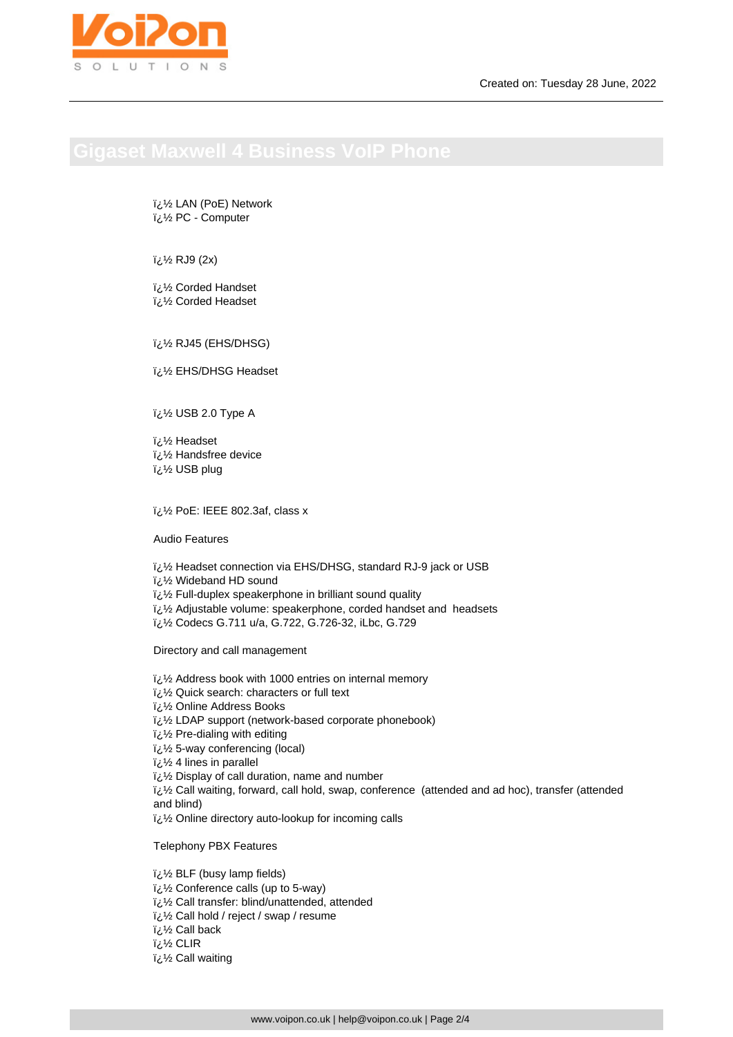� LAN (PoE) Network � PC - Computer

 $i/2$  RJ9 (2x)

� Corded Handset

� Corded Headset

i¿1⁄2 RJ45 (EHS/DHSG)

� EHS/DHSG Headset

� USB 2.0 Type A

Headset ولان  $\frac{1}{2}$ ن Handsfree device ii/ USB plug

� PoE: IEEE 802.3af, class x

Audio Features

� Headset connection via EHS/DHSG, standard RJ-9 jack or USB

� Wideband HD sound

 $i\lambda$ 's Full-duplex speakerphone in brilliant sound quality

لزنة Adjustable volume: speakerphone, corded handset and headsets

� Codecs G.711 u/a, G.722, G.726-32, iLbc, G.729

Directory and call management

لَ  $\frac{1}{2}$  Address book with 1000 entries on internal memory

� Quick search: characters or full text

� Online Address Books

 $i\&i\&$  LDAP support (network-based corporate phonebook)

 $i\mathcal{B}$  Pre-dialing with editing

� 5-way conferencing (local)

 $i\&$  4 lines in parallel

 $i/2$  Display of call duration, name and number

� Call waiting, forward, call hold, swap, conference (attended and ad hoc), transfer (attended and blind)

i¿1/2 Online directory auto-lookup for incoming calls

Telephony PBX Features

 $i,j$ ن BLF (busy lamp fields) � Conference calls (up to 5-way)  $\frac{1}{2}$ زi/ Call transfer: blind/unattended, attended � Call hold / reject / swap / resume i¿1⁄2 Call back **i**<sub>i</sub><sub>/2</sub> CLIR � Call waiting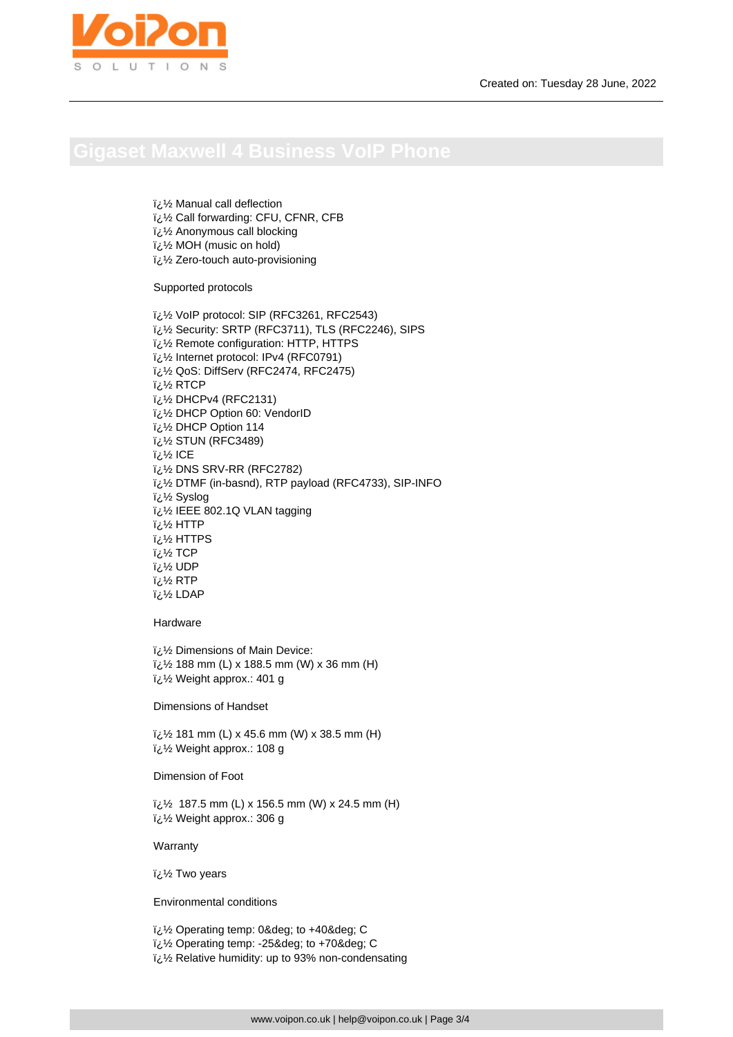� Manual call deflection � Call forwarding: CFU, CFNR, CFB i¿1/2 Anonymous call blocking  $\frac{1}{2}$ یi MOH (music on hold) لاَغ $\frac{1}{2}$  Zero-touch auto-provisioning

Supported protocols

� VoIP protocol: SIP (RFC3261, RFC2543) � Security: SRTP (RFC3711), TLS (RFC2246), SIPS  $i\lambda$ <sup>1</sup>/<sub>2</sub> Remote configuration: HTTP, HTTPS  $i/2$  Internet protocol: IPv4 (RFC0791) � QoS: DiffServ (RFC2474, RFC2475) نة kTCP i¿½ DHCPv4 (RFC2131) � DHCP Option 60: VendorID � DHCP Option 114 � STUN (RFC3489) **i**<sub>i</sub>/<sub>2</sub> ICE � DNS SRV-RR (RFC2782) � DTMF (in-basnd), RTP payload (RFC4733), SIP-INFO i¿½ Syslog � IEEE 802.1Q VLAN tagging HTTP لازة i<sub>i</sub><sub>/2</sub> HTTPS TCP لائ ii/<sub>2</sub> UDP i¿½ RTP  $i:$  LDAP

Hardware

� Dimensions of Main Device: � 188 mm (L) x 188.5 mm (W) x 36 mm (H) � Weight approx.: 401 g

Dimensions of Handset

� 181 mm (L) x 45.6 mm (W) x 38.5 mm (H) � Weight approx.: 108 g

Dimension of Foot

 $i,j$ <sup>2</sup> 187.5 mm (L) x 156.5 mm (W) x 24.5 mm (H) � Weight approx.: 306 g

**Warranty** 

� Two years

Environmental conditions

 $i\lambda$ <sup>1</sup>/<sub>2</sub> Operating temp: 0&deg; to +40&deg; C  $i\lambda$ <sup>1</sup>/<sub>2</sub> Operating temp: -25&deg; to +70&deg; C  $i,j$ ' Relative humidity: up to 93% non-condensating